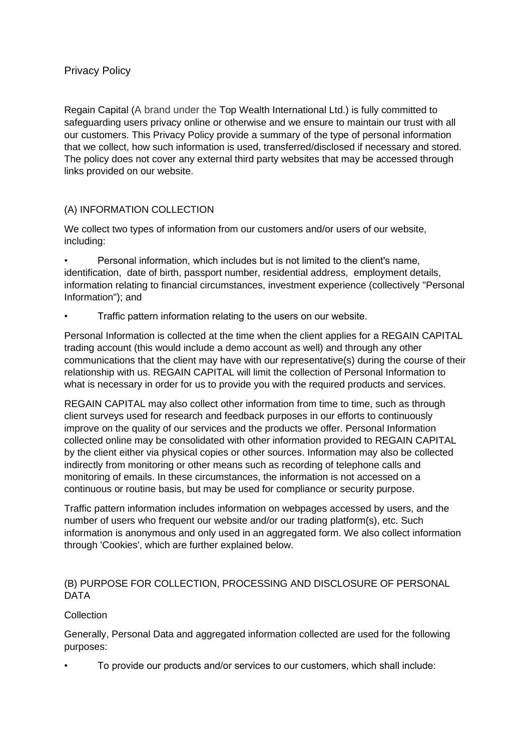# Privacy Policy

Regain Capital (A brand under the Top Wealth International Ltd.) is fully committed to safeguarding users privacy online or otherwise and we ensure to maintain our trust with all our customers. This Privacy Policy provide a summary of the type of personal information that we collect, how such information is used, transferred/disclosed if necessary and stored. The policy does not cover any external third party websites that may be accessed through links provided on our website.

# (A) INFORMATION COLLECTION

We collect two types of information from our customers and/or users of our website, including:

• Personal information, which includes but is not limited to the client's name, identification, date of birth, passport number, residential address, employment details, information relating to financial circumstances, investment experience (collectively "Personal Information"); and

• Traffic pattern information relating to the users on our website.

Personal Information is collected at the time when the client applies for a REGAIN CAPITAL trading account (this would include a demo account as well) and through any other communications that the client may have with our representative(s) during the course of their relationship with us. REGAIN CAPITAL will limit the collection of Personal Information to what is necessary in order for us to provide you with the required products and services.

REGAIN CAPITAL may also collect other information from time to time, such as through client surveys used for research and feedback purposes in our efforts to continuously improve on the quality of our services and the products we offer. Personal Information collected online may be consolidated with other information provided to REGAIN CAPITAL by the client either via physical copies or other sources. Information may also be collected indirectly from monitoring or other means such as recording of telephone calls and monitoring of emails. In these circumstances, the information is not accessed on a continuous or routine basis, but may be used for compliance or security purpose.

Traffic pattern information includes information on webpages accessed by users, and the number of users who frequent our website and/or our trading platform(s), etc. Such information is anonymous and only used in an aggregated form. We also collect information through 'Cookies', which are further explained below.

# (B) PURPOSE FOR COLLECTION, PROCESSING AND DISCLOSURE OF PERSONAL DATA

# **Collection**

Generally, Personal Data and aggregated information collected are used for the following purposes:

• To provide our products and/or services to our customers, which shall include: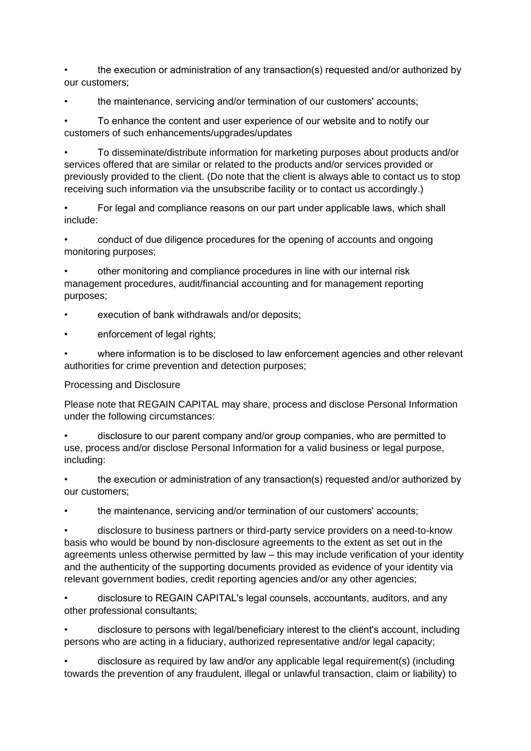• the execution or administration of any transaction(s) requested and/or authorized by our customers;

the maintenance, servicing and/or termination of our customers' accounts;

• To enhance the content and user experience of our website and to notify our customers of such enhancements/upgrades/updates

• To disseminate/distribute information for marketing purposes about products and/or services offered that are similar or related to the products and/or services provided or previously provided to the client. (Do note that the client is always able to contact us to stop receiving such information via the unsubscribe facility or to contact us accordingly.)

• For legal and compliance reasons on our part under applicable laws, which shall include:

• conduct of due diligence procedures for the opening of accounts and ongoing monitoring purposes;

• other monitoring and compliance procedures in line with our internal risk management procedures, audit/financial accounting and for management reporting purposes;

- execution of bank withdrawals and/or deposits;
- enforcement of legal rights;

where information is to be disclosed to law enforcement agencies and other relevant authorities for crime prevention and detection purposes;

### Processing and Disclosure

Please note that REGAIN CAPITAL may share, process and disclose Personal Information under the following circumstances:

• disclosure to our parent company and/or group companies, who are permitted to use, process and/or disclose Personal Information for a valid business or legal purpose, including:

• the execution or administration of any transaction(s) requested and/or authorized by our customers;

the maintenance, servicing and/or termination of our customers' accounts;

• disclosure to business partners or third-party service providers on a need-to-know basis who would be bound by non-disclosure agreements to the extent as set out in the agreements unless otherwise permitted by law – this may include verification of your identity and the authenticity of the supporting documents provided as evidence of your identity via relevant government bodies, credit reporting agencies and/or any other agencies;

• disclosure to REGAIN CAPITAL's legal counsels, accountants, auditors, and any other professional consultants;

• disclosure to persons with legal/beneficiary interest to the client's account, including persons who are acting in a fiduciary, authorized representative and/or legal capacity;

• disclosure as required by law and/or any applicable legal requirement(s) (including towards the prevention of any fraudulent, illegal or unlawful transaction, claim or liability) to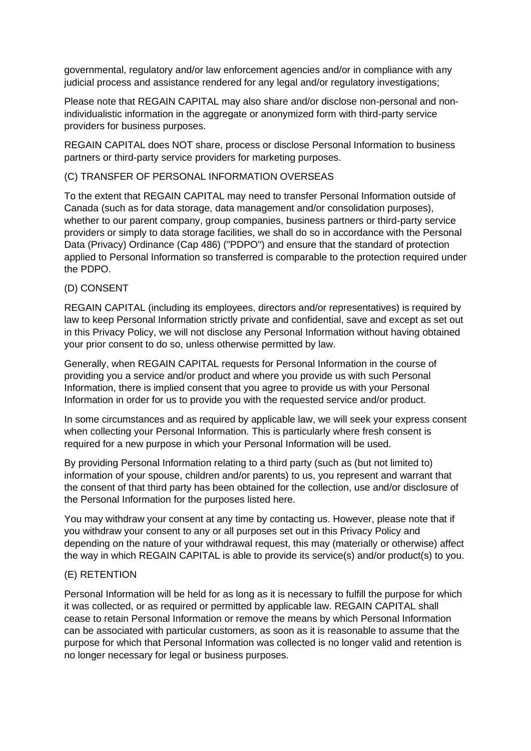governmental, regulatory and/or law enforcement agencies and/or in compliance with any judicial process and assistance rendered for any legal and/or regulatory investigations;

Please note that REGAIN CAPITAL may also share and/or disclose non-personal and nonindividualistic information in the aggregate or anonymized form with third-party service providers for business purposes.

REGAIN CAPITAL does NOT share, process or disclose Personal Information to business partners or third-party service providers for marketing purposes.

### (C) TRANSFER OF PERSONAL INFORMATION OVERSEAS

To the extent that REGAIN CAPITAL may need to transfer Personal Information outside of Canada (such as for data storage, data management and/or consolidation purposes), whether to our parent company, group companies, business partners or third-party service providers or simply to data storage facilities, we shall do so in accordance with the Personal Data (Privacy) Ordinance (Cap 486) ("PDPO") and ensure that the standard of protection applied to Personal Information so transferred is comparable to the protection required under the PDPO.

### (D) CONSENT

REGAIN CAPITAL (including its employees, directors and/or representatives) is required by law to keep Personal Information strictly private and confidential, save and except as set out in this Privacy Policy, we will not disclose any Personal Information without having obtained your prior consent to do so, unless otherwise permitted by law.

Generally, when REGAIN CAPITAL requests for Personal Information in the course of providing you a service and/or product and where you provide us with such Personal Information, there is implied consent that you agree to provide us with your Personal Information in order for us to provide you with the requested service and/or product.

In some circumstances and as required by applicable law, we will seek your express consent when collecting your Personal Information. This is particularly where fresh consent is required for a new purpose in which your Personal Information will be used.

By providing Personal Information relating to a third party (such as (but not limited to) information of your spouse, children and/or parents) to us, you represent and warrant that the consent of that third party has been obtained for the collection, use and/or disclosure of the Personal Information for the purposes listed here.

You may withdraw your consent at any time by contacting us. However, please note that if you withdraw your consent to any or all purposes set out in this Privacy Policy and depending on the nature of your withdrawal request, this may (materially or otherwise) affect the way in which REGAIN CAPITAL is able to provide its service(s) and/or product(s) to you.

#### (E) RETENTION

Personal Information will be held for as long as it is necessary to fulfill the purpose for which it was collected, or as required or permitted by applicable law. REGAIN CAPITAL shall cease to retain Personal Information or remove the means by which Personal Information can be associated with particular customers, as soon as it is reasonable to assume that the purpose for which that Personal Information was collected is no longer valid and retention is no longer necessary for legal or business purposes.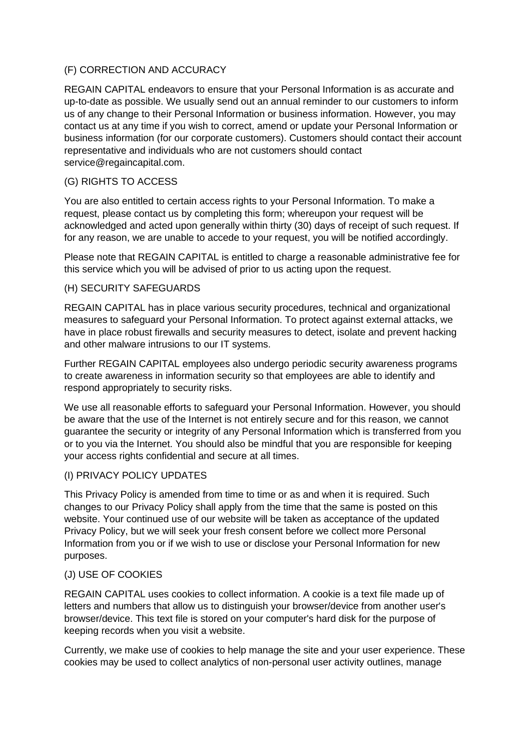## (F) CORRECTION AND ACCURACY

REGAIN CAPITAL endeavors to ensure that your Personal Information is as accurate and up-to-date as possible. We usually send out an annual reminder to our customers to inform us of any change to their Personal Information or business information. However, you may contact us at any time if you wish to correct, amend or update your Personal Information or business information (for our corporate customers). Customers should contact their account representative and individuals who are not customers should contact service@regaincapital.com.

# (G) RIGHTS TO ACCESS

You are also entitled to certain access rights to your Personal Information. To make a request, please contact us by completing this form; whereupon your request will be acknowledged and acted upon generally within thirty (30) days of receipt of such request. If for any reason, we are unable to accede to your request, you will be notified accordingly.

Please note that REGAIN CAPITAL is entitled to charge a reasonable administrative fee for this service which you will be advised of prior to us acting upon the request.

## (H) SECURITY SAFEGUARDS

REGAIN CAPITAL has in place various security procedures, technical and organizational measures to safeguard your Personal Information. To protect against external attacks, we have in place robust firewalls and security measures to detect, isolate and prevent hacking and other malware intrusions to our IT systems.

Further REGAIN CAPITAL employees also undergo periodic security awareness programs to create awareness in information security so that employees are able to identify and respond appropriately to security risks.

We use all reasonable efforts to safeguard your Personal Information. However, you should be aware that the use of the Internet is not entirely secure and for this reason, we cannot guarantee the security or integrity of any Personal Information which is transferred from you or to you via the Internet. You should also be mindful that you are responsible for keeping your access rights confidential and secure at all times.

### (I) PRIVACY POLICY UPDATES

This Privacy Policy is amended from time to time or as and when it is required. Such changes to our Privacy Policy shall apply from the time that the same is posted on this website. Your continued use of our website will be taken as acceptance of the updated Privacy Policy, but we will seek your fresh consent before we collect more Personal Information from you or if we wish to use or disclose your Personal Information for new purposes.

# (J) USE OF COOKIES

REGAIN CAPITAL uses cookies to collect information. A cookie is a text file made up of letters and numbers that allow us to distinguish your browser/device from another user's browser/device. This text file is stored on your computer's hard disk for the purpose of keeping records when you visit a website.

Currently, we make use of cookies to help manage the site and your user experience. These cookies may be used to collect analytics of non-personal user activity outlines, manage